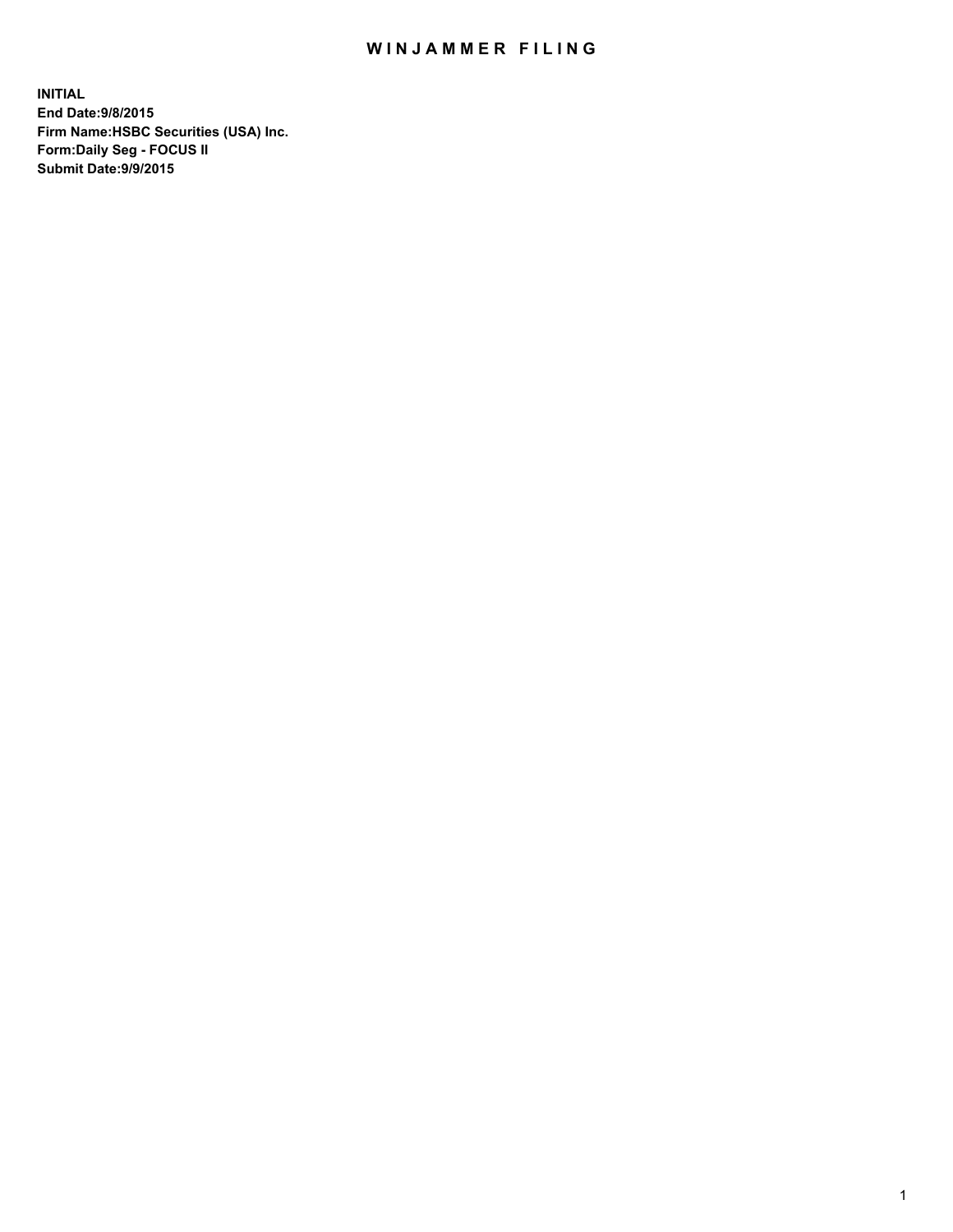## WIN JAMMER FILING

**INITIAL End Date:9/8/2015 Firm Name:HSBC Securities (USA) Inc. Form:Daily Seg - FOCUS II Submit Date:9/9/2015**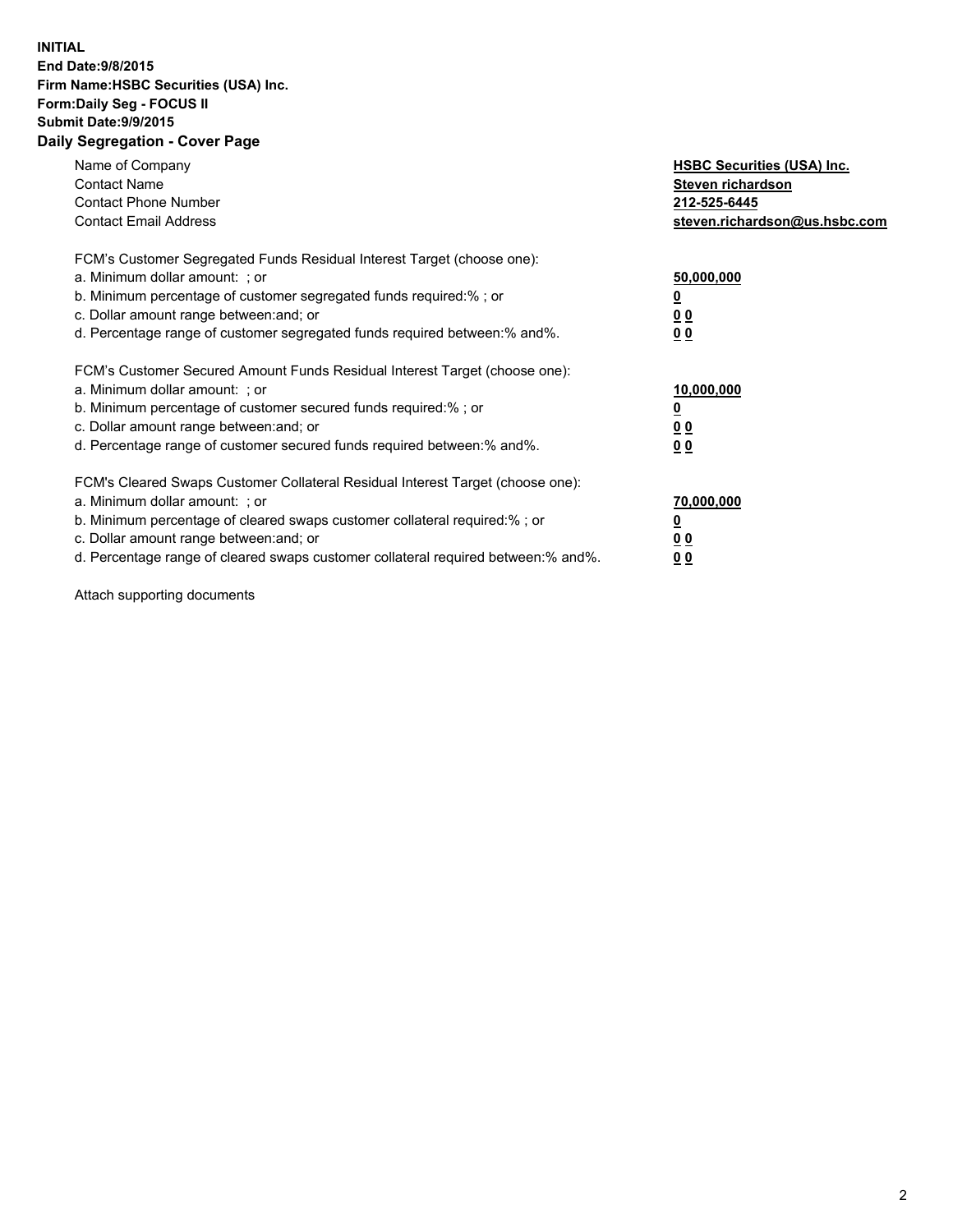## **INITIAL End Date:9/8/2015 Firm Name:HSBC Securities (USA) Inc. Form:Daily Seg - FOCUS II Submit Date:9/9/2015 Daily Segregation - Cover Page**

| Name of Company<br><b>Contact Name</b><br><b>Contact Phone Number</b><br><b>Contact Email Address</b>                                                                                                                                                                                                                          | <b>HSBC Securities (USA) Inc.</b><br>Steven richardson<br>212-525-6445<br>steven.richardson@us.hsbc.com |
|--------------------------------------------------------------------------------------------------------------------------------------------------------------------------------------------------------------------------------------------------------------------------------------------------------------------------------|---------------------------------------------------------------------------------------------------------|
| FCM's Customer Segregated Funds Residual Interest Target (choose one):<br>a. Minimum dollar amount: ; or<br>b. Minimum percentage of customer segregated funds required:%; or<br>c. Dollar amount range between: and; or<br>d. Percentage range of customer segregated funds required between:% and%.                          | 50,000,000<br>00<br>00                                                                                  |
| FCM's Customer Secured Amount Funds Residual Interest Target (choose one):<br>a. Minimum dollar amount: ; or<br>b. Minimum percentage of customer secured funds required:%; or<br>c. Dollar amount range between: and; or<br>d. Percentage range of customer secured funds required between:% and%.                            | 10,000,000<br>0 <sub>0</sub><br>00                                                                      |
| FCM's Cleared Swaps Customer Collateral Residual Interest Target (choose one):<br>a. Minimum dollar amount: ; or<br>b. Minimum percentage of cleared swaps customer collateral required:% ; or<br>c. Dollar amount range between: and; or<br>d. Percentage range of cleared swaps customer collateral required between:% and%. | 70,000,000<br><u>00</u><br><u>00</u>                                                                    |

Attach supporting documents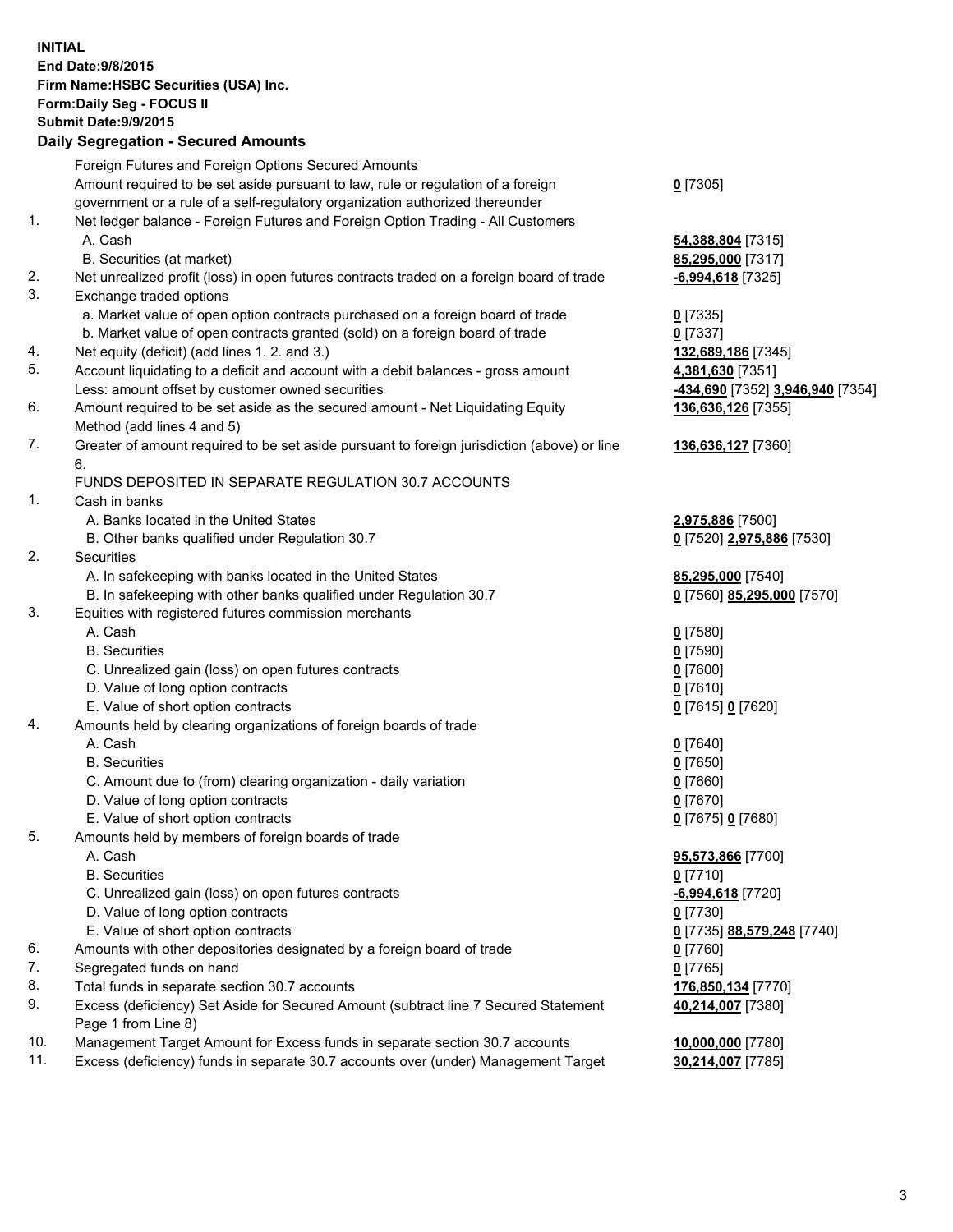**INITIAL End Date:9/8/2015 Firm Name:HSBC Securities (USA) Inc. Form:Daily Seg - FOCUS II Submit Date:9/9/2015 Daily Segregation - Secured Amounts** Foreign Futures and Foreign Options Secured Amounts Amount required to be set aside pursuant to law, rule or regulation of a foreign government or a rule of a self-regulatory organization authorized thereunder **0** [7305] 1. Net ledger balance - Foreign Futures and Foreign Option Trading - All Customers A. Cash **54,388,804** [7315] B. Securities (at market) **85,295,000** [7317] 2. Net unrealized profit (loss) in open futures contracts traded on a foreign board of trade **-6,994,618** [7325] 3. Exchange traded options a. Market value of open option contracts purchased on a foreign board of trade **0** [7335] b. Market value of open contracts granted (sold) on a foreign board of trade **0** [7337] 4. Net equity (deficit) (add lines 1. 2. and 3.) **132,689,186** [7345] 5. Account liquidating to a deficit and account with a debit balances - gross amount **4,381,630** [7351] Less: amount offset by customer owned securities **-434,690** [7352] **3,946,940** [7354] 6. Amount required to be set aside as the secured amount - Net Liquidating Equity Method (add lines 4 and 5) **136,636,126** [7355] 7. Greater of amount required to be set aside pursuant to foreign jurisdiction (above) or line 6. **136,636,127** [7360] FUNDS DEPOSITED IN SEPARATE REGULATION 30.7 ACCOUNTS 1. Cash in banks A. Banks located in the United States **2,975,886** [7500] B. Other banks qualified under Regulation 30.7 **0** [7520] **2,975,886** [7530] 2. Securities A. In safekeeping with banks located in the United States **85,295,000** [7540] B. In safekeeping with other banks qualified under Regulation 30.7 **0** [7560] **85,295,000** [7570] 3. Equities with registered futures commission merchants A. Cash **0** [7580] B. Securities **0** [7590] C. Unrealized gain (loss) on open futures contracts **0** [7600] D. Value of long option contracts **0** [7610] E. Value of short option contracts **0** [7615] **0** [7620] 4. Amounts held by clearing organizations of foreign boards of trade A. Cash **0** [7640] B. Securities **0** [7650] C. Amount due to (from) clearing organization - daily variation **0** [7660] D. Value of long option contracts **0** [7670] E. Value of short option contracts **0** [7675] **0** [7680] 5. Amounts held by members of foreign boards of trade A. Cash **95,573,866** [7700] B. Securities **0** [7710] C. Unrealized gain (loss) on open futures contracts **-6,994,618** [7720] D. Value of long option contracts **0** [7730] E. Value of short option contracts **0** [7735] **88,579,248** [7740] 6. Amounts with other depositories designated by a foreign board of trade **0** [7760] 7. Segregated funds on hand **0** [7765] 8. Total funds in separate section 30.7 accounts **176,850,134** [7770] 9. Excess (deficiency) Set Aside for Secured Amount (subtract line 7 Secured Statement Page 1 from Line 8) **40,214,007** [7380] 10. Management Target Amount for Excess funds in separate section 30.7 accounts **10,000,000** [7780] 11. Excess (deficiency) funds in separate 30.7 accounts over (under) Management Target **30,214,007** [7785]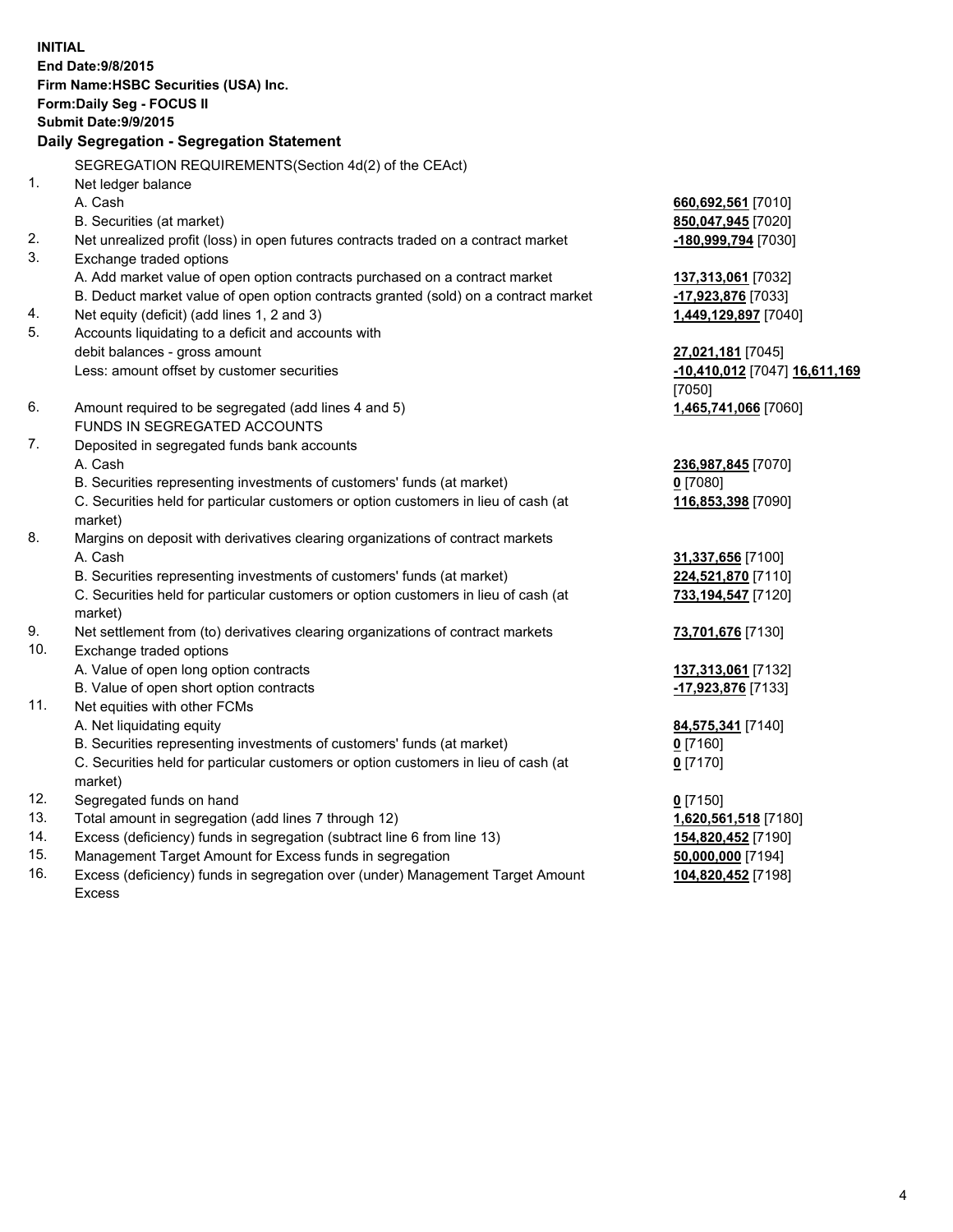| <b>INITIAL</b>             |                                                                                     |                               |  |  |  |
|----------------------------|-------------------------------------------------------------------------------------|-------------------------------|--|--|--|
| End Date: 9/8/2015         |                                                                                     |                               |  |  |  |
|                            | Firm Name: HSBC Securities (USA) Inc.                                               |                               |  |  |  |
| Form: Daily Seg - FOCUS II |                                                                                     |                               |  |  |  |
|                            | <b>Submit Date: 9/9/2015</b>                                                        |                               |  |  |  |
|                            | Daily Segregation - Segregation Statement                                           |                               |  |  |  |
|                            | SEGREGATION REQUIREMENTS(Section 4d(2) of the CEAct)                                |                               |  |  |  |
| 1.                         | Net ledger balance                                                                  |                               |  |  |  |
|                            | A. Cash                                                                             | 660,692,561 [7010]            |  |  |  |
|                            | B. Securities (at market)                                                           | 850,047,945 [7020]            |  |  |  |
| 2.                         | Net unrealized profit (loss) in open futures contracts traded on a contract market  | -180,999,794 [7030]           |  |  |  |
| 3.                         | Exchange traded options                                                             |                               |  |  |  |
|                            | A. Add market value of open option contracts purchased on a contract market         | 137,313,061 [7032]            |  |  |  |
|                            | B. Deduct market value of open option contracts granted (sold) on a contract market | -17,923,876 [7033]            |  |  |  |
| 4.                         | Net equity (deficit) (add lines 1, 2 and 3)                                         | 1,449,129,897 [7040]          |  |  |  |
| 5.                         | Accounts liquidating to a deficit and accounts with                                 |                               |  |  |  |
|                            | debit balances - gross amount                                                       | 27,021,181 [7045]             |  |  |  |
|                            | Less: amount offset by customer securities                                          | -10,410,012 [7047] 16,611,169 |  |  |  |
|                            |                                                                                     | [7050]                        |  |  |  |
| 6.                         | Amount required to be segregated (add lines 4 and 5)                                | 1,465,741,066 [7060]          |  |  |  |
|                            | FUNDS IN SEGREGATED ACCOUNTS                                                        |                               |  |  |  |
| 7.                         | Deposited in segregated funds bank accounts                                         |                               |  |  |  |
|                            | A. Cash                                                                             | 236,987,845 [7070]            |  |  |  |
|                            | B. Securities representing investments of customers' funds (at market)              | $0$ [7080]                    |  |  |  |
|                            | C. Securities held for particular customers or option customers in lieu of cash (at | 116,853,398 [7090]            |  |  |  |
|                            | market)                                                                             |                               |  |  |  |
| 8.                         | Margins on deposit with derivatives clearing organizations of contract markets      |                               |  |  |  |
|                            | A. Cash                                                                             | 31,337,656 [7100]             |  |  |  |
|                            | B. Securities representing investments of customers' funds (at market)              | 224,521,870 [7110]            |  |  |  |
|                            | C. Securities held for particular customers or option customers in lieu of cash (at | 733,194,547 [7120]            |  |  |  |
|                            | market)                                                                             |                               |  |  |  |
| 9.                         | Net settlement from (to) derivatives clearing organizations of contract markets     | 73,701,676 [7130]             |  |  |  |
| 10.                        | Exchange traded options                                                             |                               |  |  |  |
|                            | A. Value of open long option contracts                                              | 137,313,061 [7132]            |  |  |  |
|                            | B. Value of open short option contracts                                             | -17,923,876 [7133]            |  |  |  |
| 11.                        | Net equities with other FCMs                                                        |                               |  |  |  |
|                            | A. Net liquidating equity                                                           | 84,575,341 [7140]             |  |  |  |
|                            | B. Securities representing investments of customers' funds (at market)              | $0$ [7160]                    |  |  |  |
|                            | C. Securities held for particular customers or option customers in lieu of cash (at | $0$ [7170]                    |  |  |  |
|                            | market)                                                                             |                               |  |  |  |
| 12.                        | Segregated funds on hand                                                            | $0$ [7150]                    |  |  |  |
| 13.                        | Total amount in segregation (add lines 7 through 12)                                | 1,620,561,518 [7180]          |  |  |  |
| 14.                        | Excess (deficiency) funds in segregation (subtract line 6 from line 13)             | 154,820,452 [7190]            |  |  |  |
| 15.                        | Management Target Amount for Excess funds in segregation                            | 50,000,000 [7194]             |  |  |  |
| 16.                        | Excess (deficiency) funds in segregation over (under) Management Target Amount      | 104,820,452 [7198]            |  |  |  |
|                            | <b>Excess</b>                                                                       |                               |  |  |  |